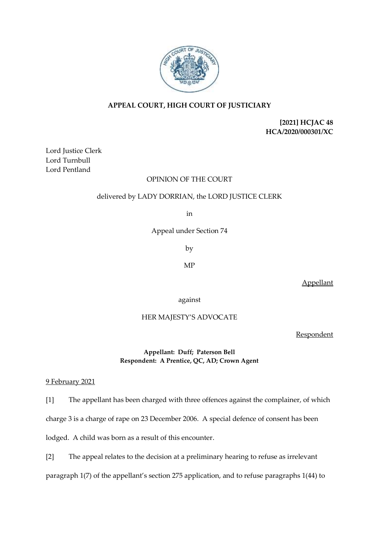

# **APPEAL COURT, HIGH COURT OF JUSTICIARY**

**[2021] HCJAC 48 HCA/2020/000301/XC**

Lord Justice Clerk Lord Turnbull Lord Pentland

## OPINION OF THE COURT

### delivered by LADY DORRIAN, the LORD JUSTICE CLERK

in

Appeal under Section 74

by

MP

Appellant

against

# HER MAJESTY'S ADVOCATE

**Respondent** 

## **Appellant: Duff; Paterson Bell Respondent: A Prentice, QC, AD; Crown Agent**

## 9 February 2021

[1] The appellant has been charged with three offences against the complainer, of which charge 3 is a charge of rape on 23 December 2006. A special defence of consent has been lodged. A child was born as a result of this encounter.

[2] The appeal relates to the decision at a preliminary hearing to refuse as irrelevant paragraph 1(7) of the appellant's section 275 application, and to refuse paragraphs 1(44) to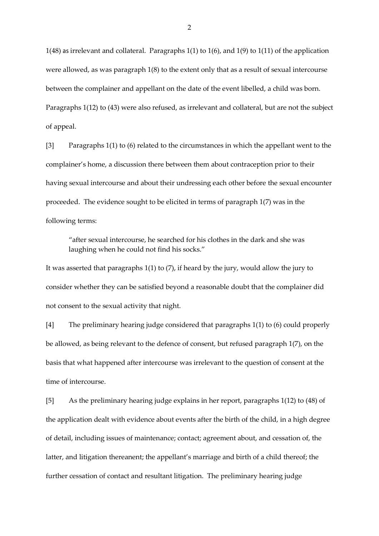1(48) as irrelevant and collateral. Paragraphs 1(1) to 1(6), and 1(9) to 1(11) of the application were allowed, as was paragraph 1(8) to the extent only that as a result of sexual intercourse between the complainer and appellant on the date of the event libelled, a child was born. Paragraphs 1(12) to (43) were also refused, as irrelevant and collateral, but are not the subject of appeal.

[3] Paragraphs 1(1) to (6) related to the circumstances in which the appellant went to the complainer's home, a discussion there between them about contraception prior to their having sexual intercourse and about their undressing each other before the sexual encounter proceeded. The evidence sought to be elicited in terms of paragraph 1(7) was in the following terms:

"after sexual intercourse, he searched for his clothes in the dark and she was laughing when he could not find his socks."

It was asserted that paragraphs 1(1) to (7), if heard by the jury, would allow the jury to consider whether they can be satisfied beyond a reasonable doubt that the complainer did not consent to the sexual activity that night.

[4] The preliminary hearing judge considered that paragraphs 1(1) to (6) could properly be allowed, as being relevant to the defence of consent, but refused paragraph 1(7), on the basis that what happened after intercourse was irrelevant to the question of consent at the time of intercourse.

[5] As the preliminary hearing judge explains in her report, paragraphs 1(12) to (48) of the application dealt with evidence about events after the birth of the child, in a high degree of detail, including issues of maintenance; contact; agreement about, and cessation of, the latter, and litigation thereanent; the appellant's marriage and birth of a child thereof; the further cessation of contact and resultant litigation. The preliminary hearing judge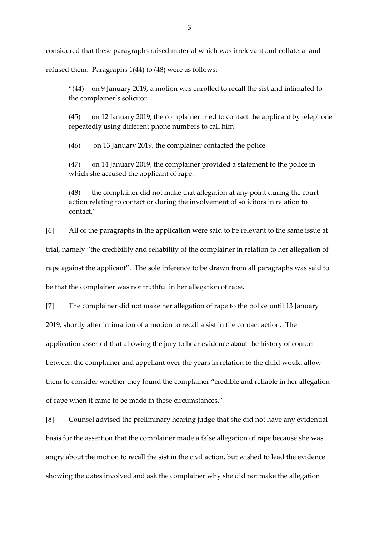considered that these paragraphs raised material which was irrelevant and collateral and

refused them. Paragraphs 1(44) to (48) were as follows:

"(44) on 9 January 2019, a motion was enrolled to recall the sist and intimated to the complainer's solicitor.

(45) on 12 January 2019, the complainer tried to contact the applicant by telephone repeatedly using different phone numbers to call him.

(46) on 13 January 2019, the complainer contacted the police.

(47) on 14 January 2019, the complainer provided a statement to the police in which she accused the applicant of rape.

(48) the complainer did not make that allegation at any point during the court action relating to contact or during the involvement of solicitors in relation to contact."

[6] All of the paragraphs in the application were said to be relevant to the same issue at trial, namely "the credibility and reliability of the complainer in relation to her allegation of rape against the applicant". The sole inference to be drawn from all paragraphs was said to be that the complainer was not truthful in her allegation of rape.

[7] The complainer did not make her allegation of rape to the police until 13 January 2019, shortly after intimation of a motion to recall a sist in the contact action. The application asserted that allowing the jury to hear evidence about the history of contact between the complainer and appellant over the years in relation to the child would allow them to consider whether they found the complainer "credible and reliable in her allegation of rape when it came to be made in these circumstances."

[8] Counsel advised the preliminary hearing judge that she did not have any evidential basis for the assertion that the complainer made a false allegation of rape because she was angry about the motion to recall the sist in the civil action, but wished to lead the evidence showing the dates involved and ask the complainer why she did not make the allegation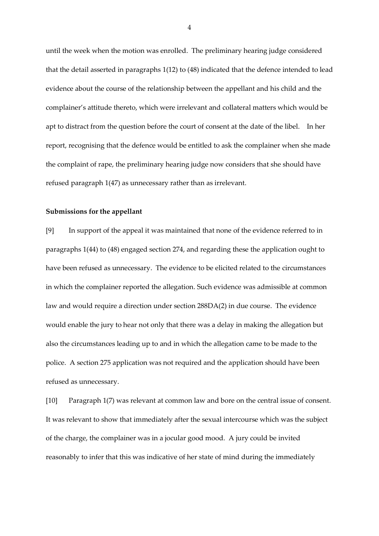until the week when the motion was enrolled. The preliminary hearing judge considered that the detail asserted in paragraphs 1(12) to (48) indicated that the defence intended to lead evidence about the course of the relationship between the appellant and his child and the complainer's attitude thereto, which were irrelevant and collateral matters which would be apt to distract from the question before the court of consent at the date of the libel. In her report, recognising that the defence would be entitled to ask the complainer when she made the complaint of rape, the preliminary hearing judge now considers that she should have refused paragraph 1(47) as unnecessary rather than as irrelevant.

#### **Submissions for the appellant**

[9] In support of the appeal it was maintained that none of the evidence referred to in paragraphs 1(44) to (48) engaged section 274, and regarding these the application ought to have been refused as unnecessary. The evidence to be elicited related to the circumstances in which the complainer reported the allegation. Such evidence was admissible at common law and would require a direction under section 288DA(2) in due course. The evidence would enable the jury to hear not only that there was a delay in making the allegation but also the circumstances leading up to and in which the allegation came to be made to the police. A section 275 application was not required and the application should have been refused as unnecessary.

[10] Paragraph 1(7) was relevant at common law and bore on the central issue of consent. It was relevant to show that immediately after the sexual intercourse which was the subject of the charge, the complainer was in a jocular good mood. A jury could be invited reasonably to infer that this was indicative of her state of mind during the immediately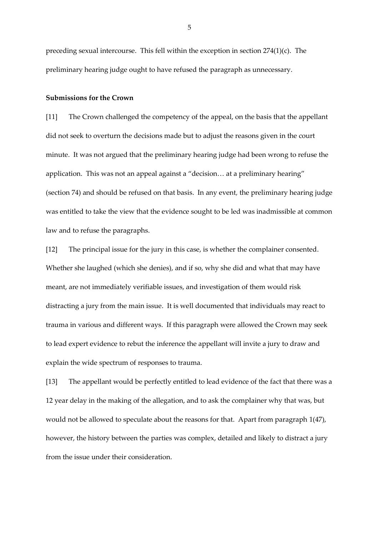preceding sexual intercourse. This fell within the exception in section 274(1)(c). The preliminary hearing judge ought to have refused the paragraph as unnecessary.

#### **Submissions for the Crown**

[11] The Crown challenged the competency of the appeal, on the basis that the appellant did not seek to overturn the decisions made but to adjust the reasons given in the court minute. It was not argued that the preliminary hearing judge had been wrong to refuse the application. This was not an appeal against a "decision… at a preliminary hearing" (section 74) and should be refused on that basis. In any event*,* the preliminary hearing judge was entitled to take the view that the evidence sought to be led was inadmissible at common law and to refuse the paragraphs.

[12] The principal issue for the jury in this case, is whether the complainer consented. Whether she laughed (which she denies), and if so, why she did and what that may have meant, are not immediately verifiable issues, and investigation of them would risk distracting a jury from the main issue. It is well documented that individuals may react to trauma in various and different ways. If this paragraph were allowed the Crown may seek to lead expert evidence to rebut the inference the appellant will invite a jury to draw and explain the wide spectrum of responses to trauma.

[13] The appellant would be perfectly entitled to lead evidence of the fact that there was a 12 year delay in the making of the allegation, and to ask the complainer why that was, but would not be allowed to speculate about the reasons for that. Apart from paragraph 1(47), however, the history between the parties was complex, detailed and likely to distract a jury from the issue under their consideration.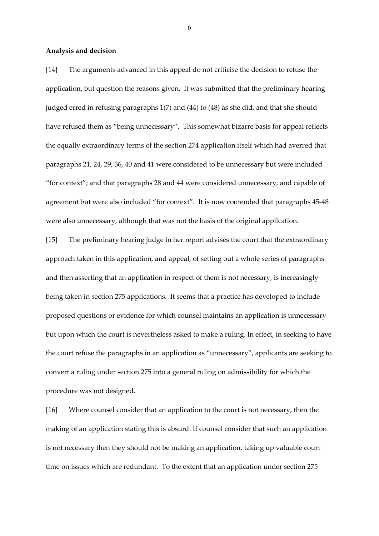#### **Analysis and decision**

[14] The arguments advanced in this appeal do not criticise the decision to refuse the application, but question the reasons given. It was submitted that the preliminary hearing judged erred in refusing paragraphs 1(7) and (44) to (48) as she did, and that she should have refused them as "being unnecessary". This somewhat bizarre basis for appeal reflects the equally extraordinary terms of the section 274 application itself which had averred that paragraphs 21, 24, 29, 36, 40 and 41 were considered to be unnecessary but were included "for context"; and that paragraphs 28 and 44 were considered unnecessary, and capable of agreement but were also included "for context". It is now contended that paragraphs 45-48 were also unnecessary, although that was not the basis of the original application.

[15] The preliminary hearing judge in her report advises the court that the extraordinary approach taken in this application, and appeal, of setting out a whole series of paragraphs and then asserting that an application in respect of them is not necessary, is increasingly being taken in section 275 applications. It seems that a practice has developed to include proposed questions or evidence for which counsel maintains an application is unnecessary but upon which the court is nevertheless asked to make a ruling. In effect, in seeking to have the court refuse the paragraphs in an application as "unnecessary", applicants are seeking to convert a ruling under section 275 into a general ruling on admissibility for which the procedure was not designed.

[16] Where counsel consider that an application to the court is not necessary, then the making of an application stating this is absurd. If counsel consider that such an application is not necessary then they should not be making an application, taking up valuable court time on issues which are redundant. To the extent that an application under section 275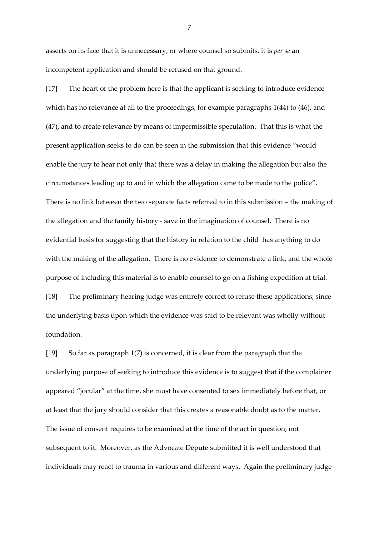asserts on its face that it is unnecessary, or where counsel so submits, it is *per se* an incompetent application and should be refused on that ground.

[17] The heart of the problem here is that the applicant is seeking to introduce evidence which has no relevance at all to the proceedings, for example paragraphs 1(44) to (46), and (47), and to create relevance by means of impermissible speculation. That this is what the present application seeks to do can be seen in the submission that this evidence "would enable the jury to hear not only that there was a delay in making the allegation but also the circumstances leading up to and in which the allegation came to be made to the police". There is no link between the two separate facts referred to in this submission – the making of the allegation and the family history - save in the imagination of counsel. There is no evidential basis for suggesting that the history in relation to the child has anything to do with the making of the allegation. There is no evidence to demonstrate a link, and the whole purpose of including this material is to enable counsel to go on a fishing expedition at trial. [18] The preliminary hearing judge was entirely correct to refuse these applications, since the underlying basis upon which the evidence was said to be relevant was wholly without foundation.

[19] So far as paragraph 1(7) is concerned, it is clear from the paragraph that the underlying purpose of seeking to introduce this evidence is to suggest that if the complainer appeared "jocular" at the time, she must have consented to sex immediately before that, or at least that the jury should consider that this creates a reasonable doubt as to the matter. The issue of consent requires to be examined at the time of the act in question, not subsequent to it. Moreover, as the Advocate Depute submitted it is well understood that individuals may react to trauma in various and different ways. Again the preliminary judge